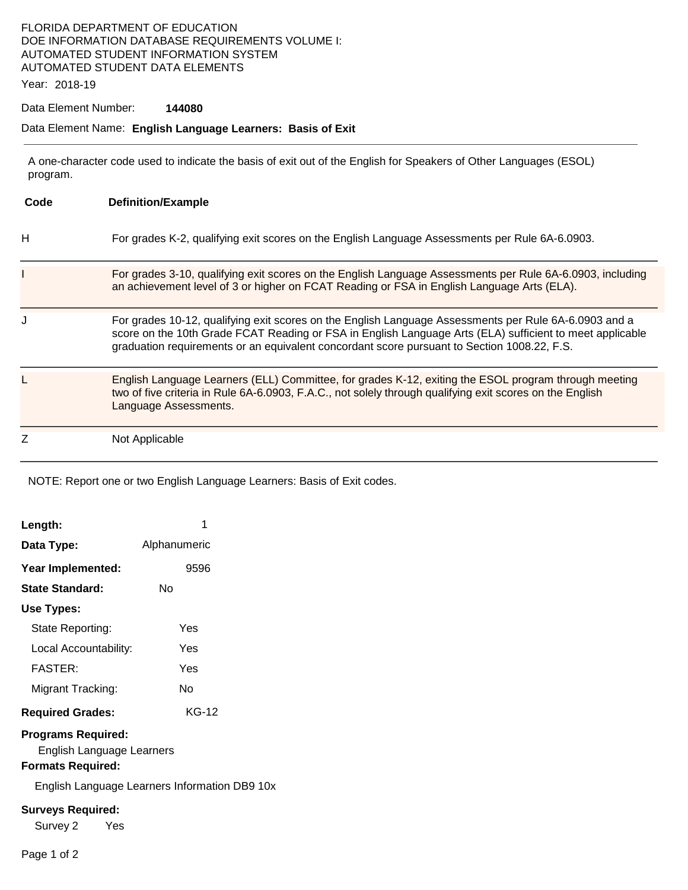## FLORIDA DEPARTMENT OF EDUCATION DOE INFORMATION DATABASE REQUIREMENTS VOLUME I: AUTOMATED STUDENT INFORMATION SYSTEM AUTOMATED STUDENT DATA ELEMENTS

Year: 2018-19

#### Data Element Number: **144080**

#### Data Element Name: **English Language Learners: Basis of Exit**

 A one-character code used to indicate the basis of exit out of the English for Speakers of Other Languages (ESOL) program.

| Code | <b>Definition/Example</b>                                                                                                                                                                                                                                                                                        |
|------|------------------------------------------------------------------------------------------------------------------------------------------------------------------------------------------------------------------------------------------------------------------------------------------------------------------|
| н    | For grades K-2, qualifying exit scores on the English Language Assessments per Rule 6A-6.0903.                                                                                                                                                                                                                   |
|      | For grades 3-10, qualifying exit scores on the English Language Assessments per Rule 6A-6.0903, including<br>an achievement level of 3 or higher on FCAT Reading or FSA in English Language Arts (ELA).                                                                                                          |
|      | For grades 10-12, qualifying exit scores on the English Language Assessments per Rule 6A-6.0903 and a<br>score on the 10th Grade FCAT Reading or FSA in English Language Arts (ELA) sufficient to meet applicable<br>graduation requirements or an equivalent concordant score pursuant to Section 1008.22, F.S. |
|      | English Language Learners (ELL) Committee, for grades K-12, exiting the ESOL program through meeting<br>two of five criteria in Rule 6A-6.0903, F.A.C., not solely through qualifying exit scores on the English<br>Language Assessments.                                                                        |
| Z    | Not Applicable                                                                                                                                                                                                                                                                                                   |

NOTE: Report one or two English Language Learners: Basis of Exit codes.

| Length:                   | 1            |  |  |  |
|---------------------------|--------------|--|--|--|
| Data Type:                | Alphanumeric |  |  |  |
| Year Implemented:         | 9596         |  |  |  |
| State Standard:           | N٥           |  |  |  |
| Use Types:                |              |  |  |  |
| State Reporting:          | Yes          |  |  |  |
| Local Accountability:     | Yes          |  |  |  |
| <b>FASTER:</b>            | Yes          |  |  |  |
| Migrant Tracking:         | N٥           |  |  |  |
| <b>Required Grades:</b>   | KG-12        |  |  |  |
| <b>Programs Required:</b> |              |  |  |  |

English Language Learners

## **Formats Required:**

English Language Learners Information DB9 10x

#### **Surveys Required:**

Survey 2 Yes